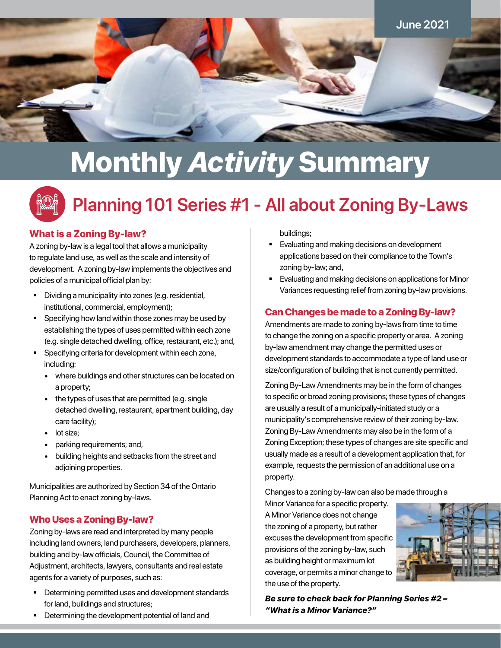

# Monthly *Activity* Summary



# **Planning 101 Series #1 - All about Zoning By-Laws**

### What is a Zoning By-law?

A zoning by-law is a legal tool that allows a municipality to regulate land use, as well as the scale and intensity of development. A zoning by-law implements the objectives and policies of a municipal official plan by:

- Dividing a municipality into zones (e.g. residential, institutional, commercial, employment);
- **Specifying how land within those zones may be used by** establishing the types of uses permitted within each zone (e.g. single detached dwelling, office, restaurant, etc.); and,
- **Specifying criteria for development within each zone,** including:
	- where buildings and other structures can be located on a property;
	- the types of uses that are permitted (e.g. single detached dwelling, restaurant, apartment building, day care facility);
	- lot size;
	- parking requirements; and,
	- building heights and setbacks from the street and adjoining properties.

Municipalities are authorized by Section 34 of the Ontario Planning Act to enact zoning by-laws.

### Who Uses a Zoning By-law?

Zoning by-laws are read and interpreted by many people including land owners, land purchasers, developers, planners, building and by-law officials, Council, the Committee of Adjustment, architects, lawyers, consultants and real estate agents for a variety of purposes, such as:

Determining permitted uses and development standards for land, buildings and structures;

**•** Determining the development potential of land and

buildings;

- **Evaluating and making decisions on development** applications based on their compliance to the Town's zoning by-law; and,
- **Evaluating and making decisions on applications for Minor** Variances requesting relief from zoning by-law provisions.

### Can Changes be made to a Zoning By-law?

Amendments are made to zoning by-laws from time to time to change the zoning on a specific property or area. A zoning by-law amendment may change the permitted uses or development standards to accommodate a type of land use or size/configuration of building that is not currently permitted.

Zoning By-Law Amendments may be in the form of changes to specific or broad zoning provisions; these types of changes are usually a result of a municipally-initiated study or a municipality's comprehensive review of their zoning by-law. Zoning By-Law Amendments may also be in the form of a Zoning Exception; these types of changes are site specific and usually made as a result of a development application that, for example, requests the permission of an additional use on a property.

Changes to a zoning by-law can also be made through a

Minor Variance for a specific property. A Minor Variance does not change the zoning of a property, but rather excuses the development from specific provisions of the zoning by-law, such as building height or maximum lot coverage, or permits a minor change to the use of the property.



*Be sure to check back for Planning Series #2 – "What is a Minor Variance?"*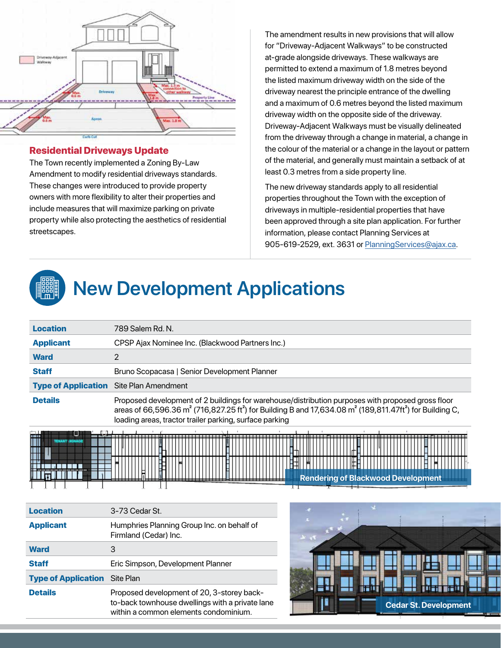

#### Residential Driveways Update

The Town recently implemented a Zoning By-Law Amendment to modify residential driveways standards. These changes were introduced to provide property owners with more flexibility to alter their properties and include measures that will maximize parking on private property while also protecting the aesthetics of residential streetscapes.

The amendment results in new provisions that will allow for "Driveway-Adjacent Walkways" to be constructed at-grade alongside driveways. These walkways are permitted to extend a maximum of 1.8 metres beyond the listed maximum driveway width on the side of the driveway nearest the principle entrance of the dwelling and a maximum of 0.6 metres beyond the listed maximum driveway width on the opposite side of the driveway. Driveway-Adjacent Walkways must be visually delineated from the driveway through a change in material, a change in the colour of the material or a change in the layout or pattern of the material, and generally must maintain a setback of at least 0.3 metres from a side property line.

The new driveway standards apply to all residential properties throughout the Town with the exception of driveways in multiple-residential properties that have been approved through a site plan application. For further information, please contact Planning Services at 905-619-2529, ext. 3631 or [PlanningServices@ajax.ca](mailto:PlanningServices%40ajax.ca?subject=).



# **New Development Applications**

| 789 Salem Rd. N.                                                                                                                                                                                                                                                                                                                           |  |
|--------------------------------------------------------------------------------------------------------------------------------------------------------------------------------------------------------------------------------------------------------------------------------------------------------------------------------------------|--|
| CPSP Ajax Nominee Inc. (Blackwood Partners Inc.)                                                                                                                                                                                                                                                                                           |  |
| 2                                                                                                                                                                                                                                                                                                                                          |  |
| Bruno Scopacasa   Senior Development Planner                                                                                                                                                                                                                                                                                               |  |
| <b>Type of Application</b> Site Plan Amendment                                                                                                                                                                                                                                                                                             |  |
| <b>Details</b><br>Proposed development of 2 buildings for warehouse/distribution purposes with proposed gross floor<br>areas of 66,596.36 m <sup>2</sup> (716,827.25 ft <sup>2</sup> ) for Building B and 17,634.08 m <sup>2</sup> (189,811.47ft <sup>2</sup> ) for Building C,<br>loading areas, tractor trailer parking, surface parking |  |
|                                                                                                                                                                                                                                                                                                                                            |  |



| <b>Location</b>                      | 3-73 Cedar St.                                                                                                                        |
|--------------------------------------|---------------------------------------------------------------------------------------------------------------------------------------|
| <b>Applicant</b>                     | Humphries Planning Group Inc. on behalf of<br>Firmland (Cedar) Inc.                                                                   |
| <b>Ward</b>                          | 3                                                                                                                                     |
| <b>Staff</b>                         | Eric Simpson, Development Planner                                                                                                     |
| <b>Type of Application</b> Site Plan |                                                                                                                                       |
| <b>Details</b>                       | Proposed development of 20, 3-storey back-<br>to-back townhouse dwellings with a private lane<br>within a common elements condominium |

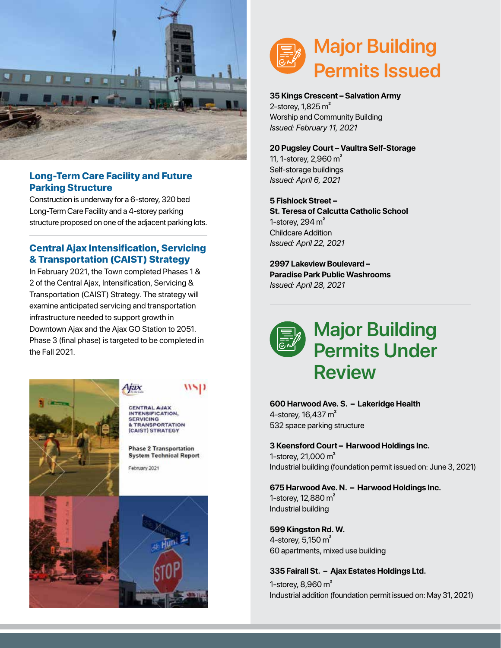

#### Long-Term Care Facility and Future Parking Structure

Construction is underway for a 6-storey, 320 bed Long-Term Care Facility and a 4-storey parking structure proposed on one of the adjacent parking lots.

# Central Ajax Intensification, Servicing & Transportation (CAIST) Strategy

In February 2021, the Town completed Phases 1 & 2 of the Central Ajax, Intensification, Servicing & Transportation (CAIST) Strategy. The strategy will examine anticipated servicing and transportation infrastructure needed to support growth in Downtown Ajax and the Ajax GO Station to 2051. Phase 3 (final phase) is targeted to be completed in the Fall 2021.



# wsp

CENTRAL AJAX<br>INTENSIFICATION. **E TRANSPORTATION** (CAIST) STRATEGY

**Phase 2 Transportation System Technical Report** 





#### **35 Kings Crescent – Salvation Army** 2-storey,  $1,825 \text{ m}^2$

Worship and Community Building *Issued: February 11, 2021*

**20 Pugsley Court – Vaultra Self-Storage** 11, 1-storey, 2,960 m² Self-storage buildings *Issued: April 6, 2021*

**5 Fishlock Street – St. Teresa of Calcutta Catholic School** 1-storey,  $294 \text{ m}^2$ Childcare Addition *Issued: April 22, 2021*

**2997 Lakeview Boulevard – Paradise Park Public Washrooms** *Issued: April 28, 2021*



**600 Harwood Ave. S. – Lakeridge Health** 4-storey, 16,437 m<sup>2</sup> 532 space parking structure

**3 Keensford Court – Harwood Holdings Inc.** 1-storey, 21,000 m² Industrial building (foundation permit issued on: June 3, 2021)

**675 Harwood Ave. N. – Harwood Holdings Inc.**

1-storey, 12,880 m² Industrial building

**599 Kingston Rd. W.** 4-storey, 5,150 m² 60 apartments, mixed use building

**335 Fairall St. – Ajax Estates Holdings Ltd.** 1-storey, 8,960 m² Industrial addition (foundation permit issued on: May 31, 2021)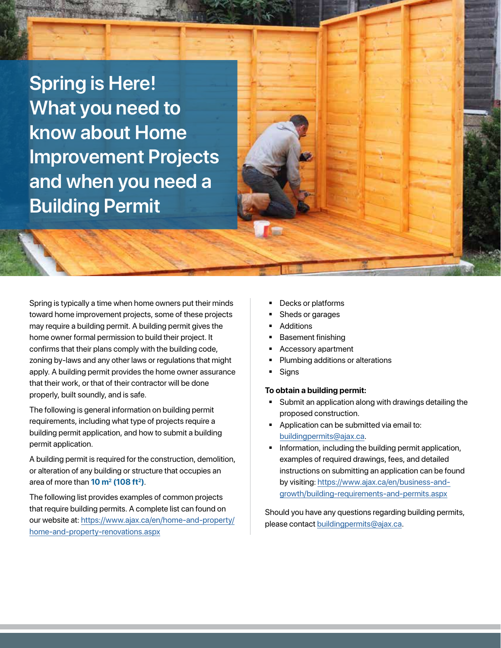**Spring is Here! What you need to know about Home Improvement Projects and when you need a Building Permit**

Spring is typically a time when home owners put their minds toward home improvement projects, some of these projects may require a building permit. A building permit gives the home owner formal permission to build their project. It confirms that their plans comply with the building code, zoning by-laws and any other laws or regulations that might apply. A building permit provides the home owner assurance that their work, or that of their contractor will be done properly, built soundly, and is safe.

The following is general information on building permit requirements, including what type of projects require a building permit application, and how to submit a building permit application.

A building permit is required for the construction, demolition, or alteration of any building or structure that occupies an area of more than **10 m2 (108 ft2)**.

The following list provides examples of common projects that require building permits. A complete list can found on our website at: [https://www.ajax.ca/en/home-and-property/](https://www.ajax.ca/en/home-and-property/home-and-property-renovations.aspx) [home-and-property-renovations.aspx](https://www.ajax.ca/en/home-and-property/home-and-property-renovations.aspx)

- Decks or platforms
- Sheds or garages
- Additions
- Basement finishing
- Accessory apartment
- Plumbing additions or alterations
- **Signs**

#### **To obtain a building permit:**

- Submit an application along with drawings detailing the proposed construction.
- **Application can be submitted via email to:** [buildingpermits@ajax.ca.](mailto:buildingpermits%40ajax.ca?subject=)
- Information, including the building permit application, examples of required drawings, fees, and detailed instructions on submitting an application can be found by visiting: [https://www.ajax.ca/en/business-and](https://www.ajax.ca/en/business-and-growth/building-requirements-and-permits.aspx)[growth/building-requirements-and-permits.aspx](https://www.ajax.ca/en/business-and-growth/building-requirements-and-permits.aspx)

Should you have any questions regarding building permits, please contact [buildingpermits@ajax.ca](mailto:buildingpermits%40ajax.ca?subject=).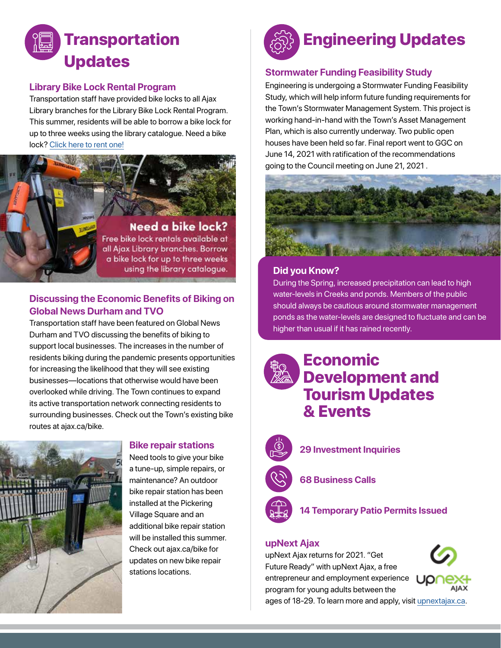

#### **Library Bike Lock Rental Program**

Transportation staff have provided bike locks to all Ajax Library branches for the Library Bike Lock Rental Program. This summer, residents will be able to borrow a bike lock for up to three weeks using the library catalogue. Need a bike lock? [Click here to rent one!](https://discover.ajaxlibrary.ca/Record/211803?searchId=253456&recordIndex=1&page=1)



### **Discussing the Economic Benefits of Biking on Global News Durham and TVO**

Transportation staff have been featured on Global News Durham and TVO discussing the benefits of biking to support local businesses. The increases in the number of residents biking during the pandemic presents opportunities for increasing the likelihood that they will see existing businesses—locations that otherwise would have been overlooked while driving. The Town continues to expand its active transportation network connecting residents to surrounding businesses. Check out the Town's existing bike routes at ajax.ca/bike.



# **Bike repair stations**

Need tools to give your bike a tune-up, simple repairs, or maintenance? An outdoor bike repair station has been installed at the Pickering Village Square and an additional bike repair station will be installed this summer. Check out ajax.ca/bike for updates on new bike repair stations locations.



## **Stormwater Funding Feasibility Study**

Engineering is undergoing a Stormwater Funding Feasibility Study, which will help inform future funding requirements for the Town's Stormwater Management System. This project is working hand-in-hand with the Town's Asset Management Plan, which is also currently underway. Two public open houses have been held so far. Final report went to GGC on June 14, 2021 with ratification of the recommendations going to the Council meeting on June 21, 2021 .



# **Did you Know? Did you Know?**

During the Spring, increased precipitation can lead to high During the Spring, increased precipitation can lead to high water-levels in Crceks and ponds. Members of the public water-levels in Creeks and ponds. Members of the public should always be cautious around stormwater management should always be cautious around stormwater management ponds as the water-levels are designed to fluctuate and can ponds as the water-levels are designed to fluctuate and can be be higher than usual if it has rained recently. higher than usual if it has rained recently.

# Economic Development and Tourism Updates & Events



**29 Investment Inquiries**

**68 Business Calls**



**14 Temporary Patio Permits Issued**

#### **upNext Ajax**

upNext Ajax returns for 2021. "Get Future Ready" with upNext Ajax, a free entrepreneur and employment experience program for young adults between the



ages of 18-29. To learn more and apply, visit [upnextajax.ca.](https://upnextajax.ca/)